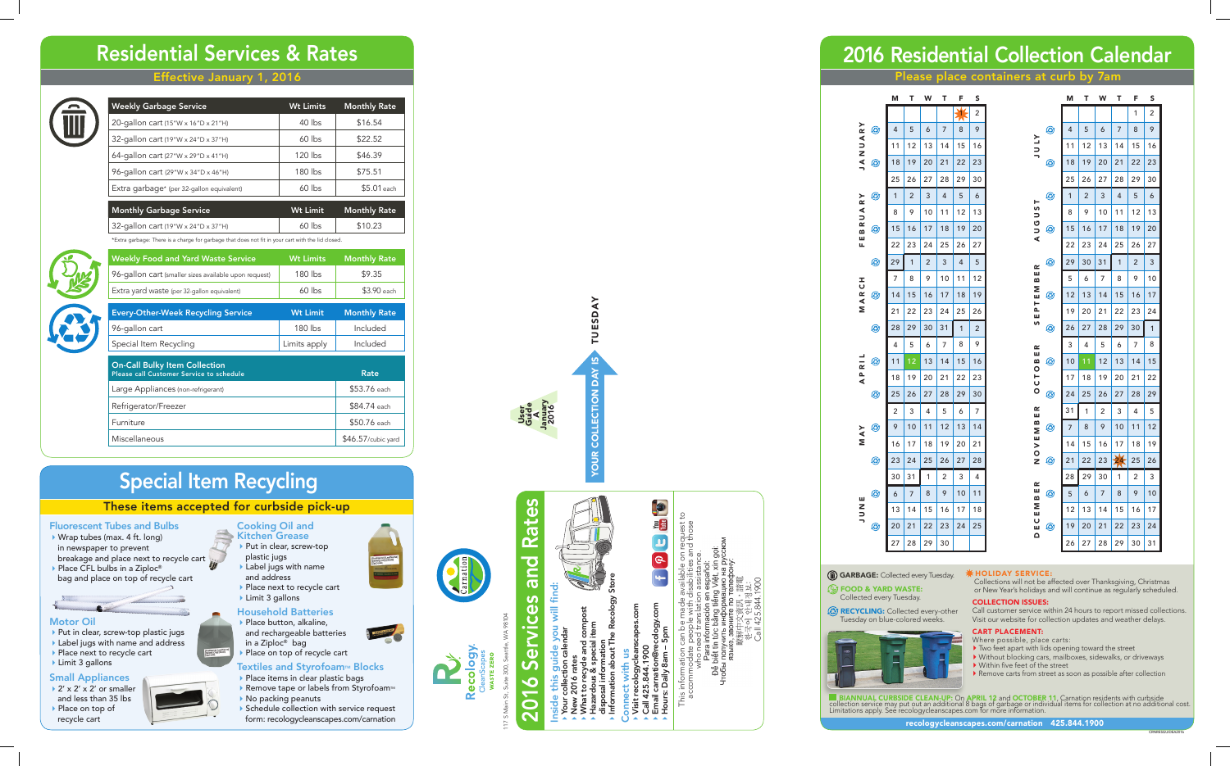# Effective January 1, 2016



# Residential Services & Rates

## These items accepted for curbside pick-up

# **Fluorescent Tubes and Bulbs**<br> $\rightarrow$  Wrap tubes (max. 4 ft. long)

- in newspaper to prevent
- breakage and place next to recycle cart ▶ Place CFL bulbs in a Ziploc®
- bag and place on top of recycle cart



- ▶ Put in clear, screw-top plastic jugs
- ▶ Label jugs with name and address Place next to recycle cart
- Limit 3 gallons

- $\rightarrow$  2' x 2' x 2' or smaller and less than 35 lbs ▶ Place on top of
- recycle cart

## Motor Oil

#### Household Batteries Place button, alkaline,

## Small Appliances

Cooking Oil and

### Kitchen Grease ▶ Put in clear, screw-top plastic jugs Label jugs with name and address

Place next to recycle cart ▶ Limit 3 gallons

- Where possible, place carts:<br>• Two feet apart with lids opening toward the street
- $\blacktriangleright$  Without blocking cars, mailboxes, sidewalks, or driveways  $\blacktriangleright$  Within five feet of the street
- 
- Remove carts from street as soon as possible after collection

BIANNUAL CURBSIDE CLEAN-UP: On APRIL 12 and OCTOBER 11, Carnation residents with curbside<br>collection service may put out an additional 8 bags of garbage or individual items for collection at no additional cost.<br>Limitations

- and rechargeable batteries in a Ziploc ® bag
- Place on top of recycle cart
- Textiles and Styrofoam<sup>™</sup> Blocks
- Place items in clear plastic bags
- $\blacktriangleright$  Remove tape or labels from Styrofoam<sup>M</sup>
- ▶ No packing peanuts
- Schedule collection with service request form: recologycleanscapes.com/carnation

*<u>Abopas</u>* 

**Re** 

RECYCLING: Collected every-other Tuesday on blue-colored weeks.



# Inside this guide you will find: find:  $\frac{1}{\sqrt{2}}$

- Your collection calendar s guide<br>ction caler
	- $rac{1}{2}$ New 2016 rates
	- What to recycle and compost
		- **Hazardous & special item**
- disposal information Information about The Recology Store
- 
- Connect with us ទី ខ with
- Visit recologycleanscapes.com : recologycleans<br>425.844.1900
- Call 425.844.1900
- Email carnation@recology.com Hours: Daily 8am – 5pm iil carnation@r<br>ırs: Daily 8am

9 **Poll** 

E

# Special Item Recycling

Holiday SERV ICE:

- This information can be made available on request to accommodate people with disabilities and those
	- who need translation assistance. Call 425.844.1900 **Dề**I



Collections will not be affected over Thanksgiving, Christmas or New Year's holidays and will continue as regularly scheduled.

117 S Main St, Suite 300, Seattle, WA 98104 300, Sea

# Rates 2016 Services and Rates and **Ces**  $\overline{\mathbf{d}}$ **S**  $\overline{\mathbf{o}}$ DT.  $\overline{\mathbf{C}}$

## collection issues:

Call customer service within 24 hours to report missed collections. Visit our website for collection updates and weather delays.

#### CART PLACEMENT:

# 2016 Residential Collection Calendar

FOOD & YARD WASTE: Collected every Tuesday.

Your collection day is TUESDAY

**YOUR** 

**UESDAY** 

| <b>Weekly Garbage Service</b>                   | <b>Wt Limits</b> | <b>Monthly Rate</b> |
|-------------------------------------------------|------------------|---------------------|
| 20-gallon cart (15"W x 16"D x 21"H)             | $40$ lbs         | \$16.54             |
| 32-gallon cart $(19"W \times 24"D \times 37"H)$ | $60$ lbs         | \$22.52             |
| 64-gallon cart (27"W x 29"D x 41"H)             | $120$ lbs        | \$46.39             |
| 96-gallon cart (29"W x 34"D x 46"H)             | $180$ lbs        | \$75.51             |
| Extra garbage* (per 32-gallon equivalent)       | $60$ lbs         | \$5.01 each         |
|                                                 |                  |                     |
| <b>Monthly Garbage Service</b>                  | Wt Limit         | <b>Monthly Rate</b> |

 $32$ -gallon cart (19"W x 24"D x 37"H) 60 lbs \$10.23



| *Extra garbage: There is a charge for garbage that does not fit in your cart with the lid closed. |                  |                     |
|---------------------------------------------------------------------------------------------------|------------------|---------------------|
| <b>Weekly Food and Yard Waste Service</b>                                                         | <b>Wt Limits</b> | <b>Monthly Rate</b> |
| 96-gallon cart (smaller sizes available upon request)                                             | $180$ lbs        | \$9.35              |
| Extra yard waste (per 32-gallon equivalent)                                                       | $60$ lbs         | \$3.90 each         |
|                                                                                                   |                  |                     |
| <b>Every-Other-Week Recycling Service</b>                                                         | <b>Wt Limit</b>  | <b>Monthly Rate</b> |
| 96-gallon cart                                                                                    | 180 lbs          | Included            |
| Special Item Recycling                                                                            | Limits apply     | Included            |
|                                                                                                   |                  |                     |
| <b>On-Call Bulky Item Collection</b><br>Please call Customer Service to schedule                  |                  | Rate                |
| Large Appliances (non-refrigerant)                                                                |                  | \$53.76 each        |
| Refrigerator/Freezer                                                                              |                  | \$84.74 each        |
| Furniture                                                                                         |                  | \$50.76 each        |
| Miscellaneous                                                                                     |                  | \$46.57/cubic yard  |

User Guide A January 2016 Please place containers at curb by 7am

|                     |     | М  | Τ  | W  | Т              | F  | S              |
|---------------------|-----|----|----|----|----------------|----|----------------|
|                     |     |    |    |    |                | 1  | 2              |
| $\mathbf{k}$        | Ø   | 4  | 5  | 6  | 7              | 8  | 9              |
| <b>AUNAL</b>        |     | 11 | 12 | 13 | 14             | 15 | 16             |
|                     | ☺   | 18 | 19 | 20 | 21             | 22 | 23             |
|                     |     | 25 | 26 | 27 | 28             | 29 | 30             |
| RY                  | ۵   | 1  | 2  | 3  | $\overline{4}$ | 5  | 6              |
| $\leq$              |     | 8  | 9  | 10 | 11             | 12 | 13             |
| œ<br>B              | ⊛   | 15 | 16 | 17 | 18             | 19 | 20             |
| ш<br>щ              |     | 22 | 23 | 24 | 25             | 26 | 27             |
|                     | ⊛   | 29 | 1  | 2  | 3              | 4  | 5              |
| I                   |     | 7  | 8  | 9  | 10             | 11 | 12             |
| $\overline{C}$<br>∢ | ☺   | 14 | 15 | 16 | 17             | 18 | 19             |
| Σ                   |     | 21 | 22 | 23 | 24             | 25 | 26             |
|                     | ⊛   | 28 | 29 | 30 | 31             | 1  | $\overline{2}$ |
|                     |     | 4  | 5  | 6  | 7              | 8  | 9              |
| $\frac{1}{2}$       | ☺   | 11 | 12 | 13 | 14             | 15 | 16             |
| —<br>∡              |     | 18 | 19 | 20 | 21             | 22 | 23             |
|                     | (C) | 25 | 26 | 27 | 28             | 29 | 30             |
|                     |     | 2  | 3  | 4  | 5              | 6  | 7              |
| ≻<br>.<br>≺         | Ø   | 9  | 10 | 11 | 12             | 13 | 14             |
| Σ                   |     | 16 | 17 | 18 | 19             | 20 | 21             |
|                     | ☺   | 23 | 24 | 25 | 26             | 27 | 28             |
|                     |     | 30 | 31 | 1  | 2              | 3  | 4              |
| Ш                   | ⊛   | 6  | 7  | 8  | 9              | 10 | 11             |
| NUV                 |     | 13 | 14 | 15 | 16             | 17 | 18             |
|                     | O   | 20 | 21 | 22 | 23             | 24 | 25             |
|                     |     | 27 | 28 | 29 | 30             |    |                |

|                |   | M  | Т  | W  | Т  | F              | S              |
|----------------|---|----|----|----|----|----------------|----------------|
|                |   |    |    |    |    | 1              | $\overline{2}$ |
|                | Ø | 4  | 5  | 6  | 7  | 8              | 9              |
| <b>ATNT</b>    |   | 11 | 12 | 13 | 14 | 15             | 16             |
|                | ٨ | 18 | 19 | 20 | 21 | 22             | 23             |
|                |   | 25 | 26 | 27 | 28 | 29             | 30             |
| H              | Ø | 1  | 2  | 3  | 4  | 5              | 6              |
|                |   | 8  | 9  | 10 | 11 | 12             | 13             |
| SNDON          | ⊛ | 15 | 16 | 17 | 18 | 19             | 20             |
|                |   | 22 | 23 | 24 | 25 | 26             | 27             |
| œ              | ☺ | 29 | 30 | 31 | 1  | $\overline{2}$ | 3              |
| Щ<br>m         |   | 5  | 6  | 7  | 8  | 9              | 10             |
| Σ<br>ш         | ٨ | 12 | 13 | 14 | 15 | 16             | 17             |
| ե<br>բ<br>ш    |   | 19 | 20 | 21 | 22 | 23             | 24             |
| s,             | ☺ | 26 | 27 | 28 | 29 | 30             | 1              |
| ≃              |   | 3  | 4  | 5  | 6  | 7              | 8              |
| Щ<br>m<br>O    | Ø | 10 | 11 | 12 | 13 | 14             | 15             |
| —<br>∪         |   | 17 | 18 | 19 | 20 | 21             | 22             |
| $\overline{O}$ | ٨ | 24 | 25 | 26 | 27 | 28             | 29             |
| œ<br>ш         |   | 31 | 1  | 2  | 3  | 4              | 5              |
| MB<br>Z        | ☺ | 7  | 8  | 9  | 10 | 11             | 12             |
| M<br>>         |   | 14 | 15 | 16 | 17 | 18             | 19             |
| O<br>Z         | ☺ | 21 | 22 | 23 | 24 | 25             | 26             |
| œ              |   | 28 | 29 | 30 | 1  | 2              | 3              |
| ш<br>B         | ☺ | 5  | 6  | 7  | 8  | 9              | 10             |
| Σ<br>ш         |   | 12 | 13 | 14 | 15 | 16             | 17             |
| ပ<br>ш         | ۞ | 19 | 20 | 21 | 22 | 23             | 24             |
| ≏              |   |    |    |    |    |                |                |

GARBAGE: Collected every Tuesday.